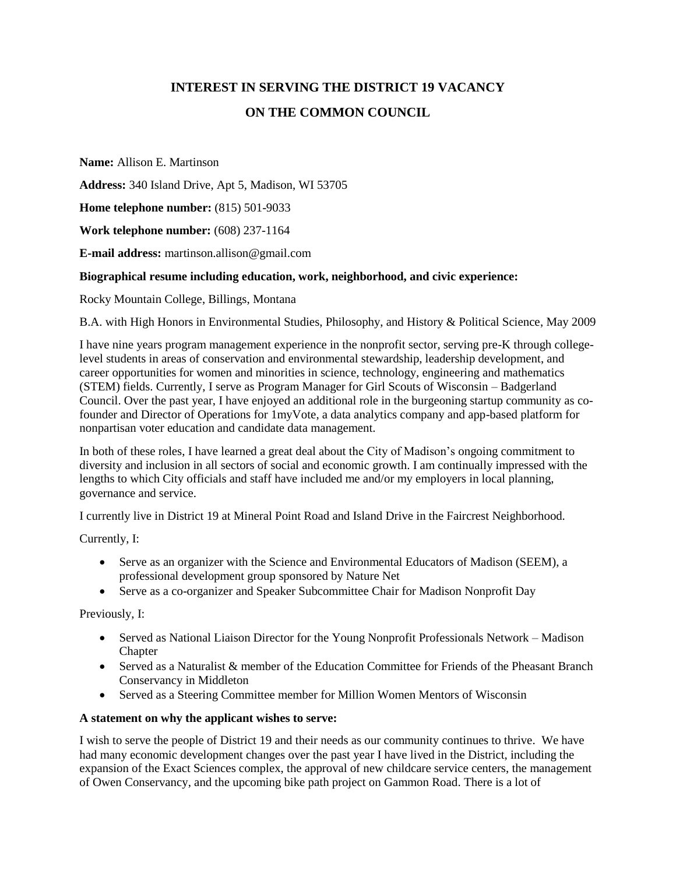# **INTEREST IN SERVING THE DISTRICT 19 VACANCY ON THE COMMON COUNCIL**

**Name:** Allison E. Martinson

**Address:** 340 Island Drive, Apt 5, Madison, WI 53705

**Home telephone number:** (815) 501-9033

**Work telephone number:** (608) 237-1164

**E-mail address:** martinson.allison@gmail.com

## **Biographical resume including education, work, neighborhood, and civic experience:**

Rocky Mountain College, Billings, Montana

B.A. with High Honors in Environmental Studies, Philosophy, and History & Political Science, May 2009

I have nine years program management experience in the nonprofit sector, serving pre-K through collegelevel students in areas of conservation and environmental stewardship, leadership development, and career opportunities for women and minorities in science, technology, engineering and mathematics (STEM) fields. Currently, I serve as Program Manager for Girl Scouts of Wisconsin – Badgerland Council. Over the past year, I have enjoyed an additional role in the burgeoning startup community as cofounder and Director of Operations for 1myVote, a data analytics company and app-based platform for nonpartisan voter education and candidate data management.

In both of these roles, I have learned a great deal about the City of Madison's ongoing commitment to diversity and inclusion in all sectors of social and economic growth. I am continually impressed with the lengths to which City officials and staff have included me and/or my employers in local planning, governance and service.

I currently live in District 19 at Mineral Point Road and Island Drive in the Faircrest Neighborhood.

Currently, I:

- Serve as an organizer with the Science and Environmental Educators of Madison (SEEM), a professional development group sponsored by Nature Net
- Serve as a co-organizer and Speaker Subcommittee Chair for Madison Nonprofit Day

Previously, I:

- Served as National Liaison Director for the Young Nonprofit Professionals Network Madison Chapter
- Served as a Naturalist & member of the Education Committee for Friends of the Pheasant Branch Conservancy in Middleton
- Served as a Steering Committee member for Million Women Mentors of Wisconsin

#### **A statement on why the applicant wishes to serve:**

I wish to serve the people of District 19 and their needs as our community continues to thrive. We have had many economic development changes over the past year I have lived in the District, including the expansion of the Exact Sciences complex, the approval of new childcare service centers, the management of Owen Conservancy, and the upcoming bike path project on Gammon Road. There is a lot of